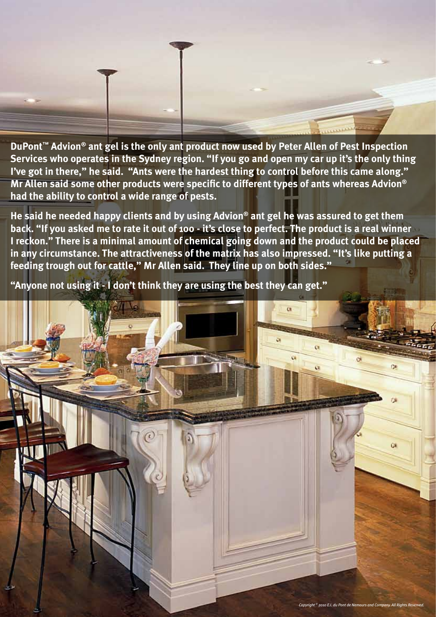

**DuPont™ Advion® ant gel is the only ant product now used by Peter Allen of Pest Inspection Services who operates in the Sydney region. "If you go and open my car up it's the only thing I've got in there," he said. "Ants were the hardest thing to control before this came along." Mr Allen said some other products were specific to different types of ants whereas Advion® had the ability to control a wide range of pests.** 

**He said he needed happy clients and by using Advion® ant gel he was assured to get them back. "If you asked me to rate it out of 100 - it's close to perfect. The product is a real winner I reckon." There is a minimal amount of chemical going down and the product could be placed in any circumstance. The attractiveness of the matrix has also impressed. "It's like putting a feeding trough out for cattle," Mr Allen said. They line up on both sides."** 

**"Anyone not using it - I don't think they are using the best they can get."**

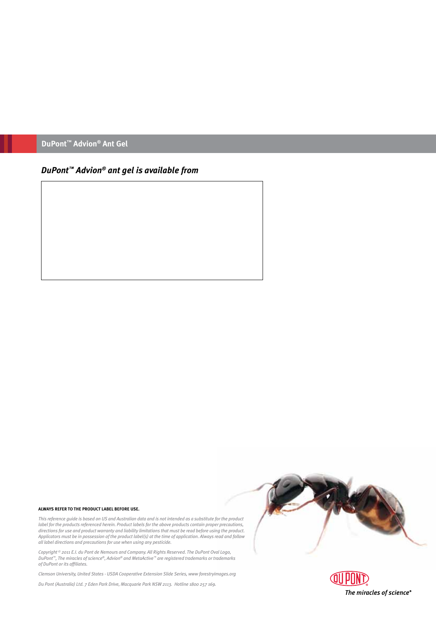### **DuPont™ Advion® Ant Gel**

## *DuPont™ Advion® ant gel is available from*

#### **ALWAYS REFER TO THE PRODUCT LABEL BEFORE USE.**

*This reference guide is based on US and Australian data and is not intended as a substitute for the product label for the products referenced herein. Product labels for the above products contain proper precautions, directions for use and product warranty and liability limitations that must be read before using the product. Applicators must be in possession of the product label(s) at the time of application. Always read and follow all label directions and precautions for use when using any pesticide.*

*Copyright © 2011 E.I. du Pont de Nemours and Company. All Rights Reserved. The DuPont Oval Logo, DuPont™, The miracles of science®, Advion® and MetaActive™ are registered trademarks or trademarks of DuPont or its affiliates.* 

*Clemson University, United States - USDA Cooperative Extension Slide Series, www forestryimages.org*

*Du Pont (Australia) Ltd. 7 Eden Park Drive, Macquarie Park NSW 2113. Hotline 1800 257 169.*



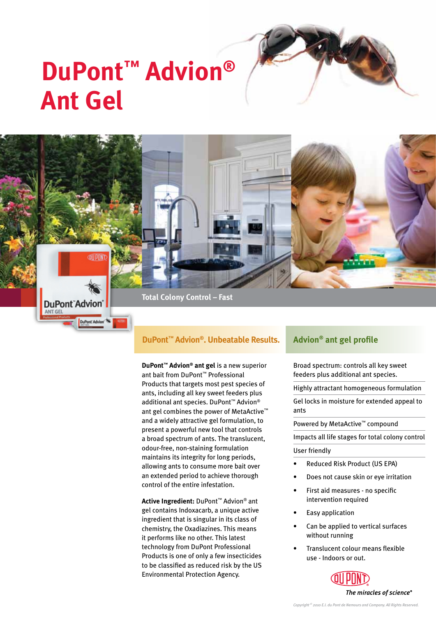# **DuPont™ Advion® Ant Gel**



#### **DuPont™ Advion®. Unbeatable Results.**

**DuPont™ Advion® ant gel** is a new superior ant bait from DuPont™ Professional Products that targets most pest species of ants, including all key sweet feeders plus additional ant species. DuPont™ Advion® ant gel combines the power of MetaActive™ and a widely attractive gel formulation, to present a powerful new tool that controls a broad spectrum of ants. The translucent, odour-free, non-staining formulation maintains its integrity for long periods, allowing ants to consume more bait over an extended period to achieve thorough control of the entire infestation.

**Active Ingredient:** DuPont™ Advion® ant gel contains Indoxacarb, a unique active ingredient that is singular in its class of chemistry, the Oxadiazines. This means it performs like no other. This latest technology from DuPont Professional Products is one of only a few insecticides to be classified as reduced risk by the US Environmental Protection Agency.

### **Advion® ant gel profile**

Broad spectrum: controls all key sweet feeders plus additional ant species.

Highly attractant homogeneous formulation

Gel locks in moisture for extended appeal to ants

Powered by MetaActive™ compound

Impacts all life stages for total colony control

#### User friendly

- Reduced Risk Product (US EPA)
- Does not cause skin or eye irritation
- First aid measures no specific intervention required
- Easy application
- Can be applied to vertical surfaces without running
- Translucent colour means flexible use - Indoors or out.

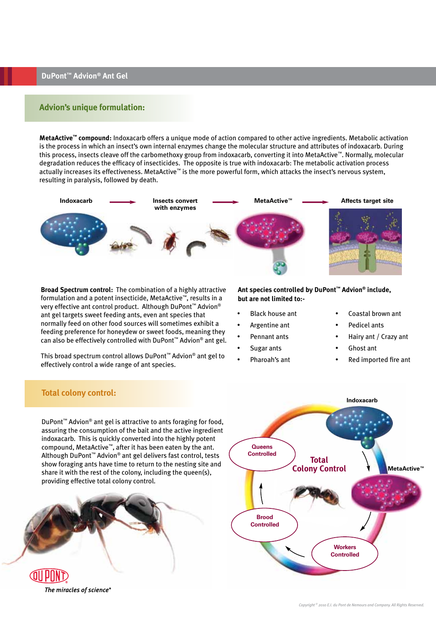DuPont<sup>™</sup> Advion® Ant Gel

#### **Advion's unique formulation:**

MetaActive™ compound: Indoxacarb offers a unique mode of action compared to other active ingredients. Metabolic activation is the process in which an insect's own internal enzymes change the molecular structure and attributes of indoxacarb. During this process, insects cleave off the carbomethoxy group from indoxacarb, converting it into MetaActive™. Normally, molecular degradation reduces the efficacy of insecticides. The opposite is true with indoxacarb: The metabolic activation process actually increases its effectiveness. MetaActive™ is the more powerful form, which attacks the insect's nervous system, resulting in paralysis, followed by death.



**Broad Spectrum control:** The combination of a highly attractive formulation and a potent insecticide, MetaActive™, results in a very effective ant control product. Although DuPont<sup>™</sup> Advion® ant gel targets sweet feeding ants, even ant species that normally feed on other food sources will sometimes exhibit a feeding preference for honeydew or sweet foods, meaning they can also be effectively controlled with DuPont<sup>™</sup> Advion® ant gel.

This broad spectrum control allows DuPont™ Advion® ant gel to effectively control a wide range of ant species.

Ant species controlled by DuPont™ Advion® include, but are not limited to:-

- **Black house ant**
- Argentine ant
- Pennant ants
- Sugar ants
- Pharoah's ant
- Coastal brown ant
- **Pedicel ants**
- Hairy ant / Crazy ant
- Ghost ant
	- Red imported fire ant

#### **Total colony control:**

DuPont<sup>™</sup> Advion<sup>®</sup> ant gel is attractive to ants foraging for food. assuring the consumption of the bait and the active ingredient indoxacarb. This is quickly converted into the highly potent compound, MetaActive™, after it has been eaten by the ant. Although DuPont<sup>™</sup> Advion<sup>®</sup> ant gel delivers fast control, tests show foraging ants have time to return to the nesting site and share it with the rest of the colony, including the queen(s), providing effective total colony control.



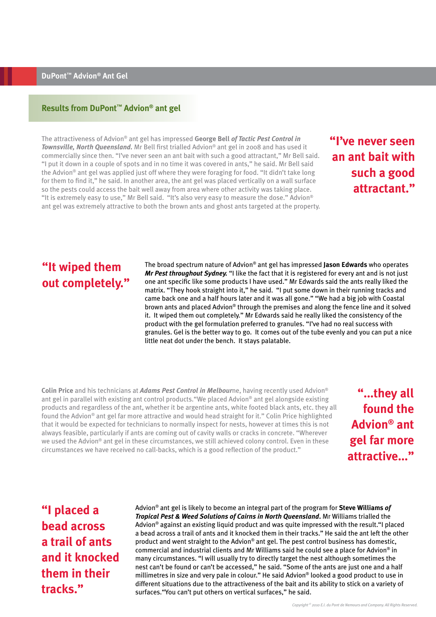#### Results from DuPont<sup>™</sup> Advion<sup>®</sup> ant gel

The attractiveness of Advion® ant gel has impressed George Bell of Tactic Pest Control in Townsville, North Queensland. Mr Bell first trialled Advion® ant gel in 2008 and has used it commercially since then. "I've never seen an ant bait with such a good attractant," Mr Bell said. "I put it down in a couple of spots and in no time it was covered in ants," he said. Mr Bell said the Advion® ant gel was applied just off where they were foraging for food. "It didn't take long for them to find it," he said. In another area, the ant gel was placed vertically on a wall surface so the pests could access the bait well away from area where other activity was taking place. "It is extremely easy to use," Mr Bell said. "It's also very easy to measure the dose." Advion® ant gel was extremely attractive to both the brown ants and ghost ants targeted at the property.

## "I've never seen an ant bait with such a good attractant."

## "It wiped them out completely."

The broad spectrum nature of Advion® ant gel has impressed Jason Edwards who operates Mr Pest throughout Sydney. "I like the fact that it is registered for every ant and is not just one ant specific like some products I have used." Mr Edwards said the ants really liked the matrix. "They hook straight into it," he said. "I put some down in their running tracks and came back one and a half hours later and it was all gone." "We had a big job with Coastal brown ants and placed Advion® through the premises and along the fence line and it solved it. It wiped them out completely." Mr Edwards said he really liked the consistency of the product with the gel formulation preferred to granules. "I've had no real success with granules. Gel is the better way to go. It comes out of the tube evenly and you can put a nice little neat dot under the bench. It stays palatable.

Colin Price and his technicians at Adams Pest Control in Melbourne, having recently used Advion® ant gel in parallel with existing ant control products. "We placed Advion® ant gel alongside existing products and regardless of the ant, whether it be argentine ants, white footed black ants, etc. they all found the Advion® ant gel far more attractive and would head straight for it." Colin Price highlighted that it would be expected for technicians to normally inspect for nests, however at times this is not always feasible, particularly if ants are coming out of cavity walls or cracks in concrete. "Wherever we used the Advion® ant gel in these circumstances, we still achieved colony control. Even in these circumstances we have received no call-backs, which is a good reflection of the product."

"...they all found the Advion<sup>®</sup> ant gel far more attractive..."

## "I placed a **bead across** a trail of ants and it knocked them in their tracks."

Advion<sup>®</sup> ant gel is likely to become an integral part of the program for **Steve Williams of** Tropical Pest & Weed Solutions of Cairns in North Queensland. Mr Williams trialled the Advion® against an existing liquid product and was quite impressed with the result."I placed a bead across a trail of ants and it knocked them in their tracks." He said the ant left the other product and went straight to the Advion® ant gel. The pest control business has domestic, commercial and industrial clients and Mr Williams said he could see a place for Advion® in many circumstances. "I will usually try to directly target the nest although sometimes the nest can't be found or can't be accessed," he said. "Some of the ants are just one and a half millimetres in size and very pale in colour." He said Advion® looked a good product to use in different situations due to the attractiveness of the bait and its ability to stick on a variety of surfaces. "You can't put others on vertical surfaces," he said.